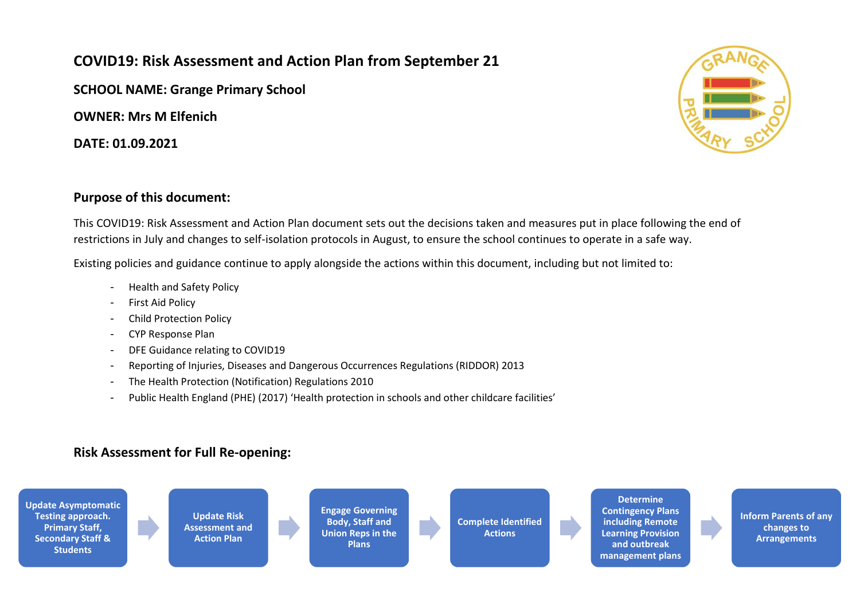## **COVID19: Risk Assessment and Action Plan from September 21**

**SCHOOL NAME: Grange Primary School**

**OWNER: Mrs M Elfenich**

**DATE: 01.09.2021**



## **Purpose of this document:**

This COVID19: Risk Assessment and Action Plan document sets out the decisions taken and measures put in place following the end of restrictions in July and changes to self-isolation protocols in August, to ensure the school continues to operate in a safe way.

Existing policies and guidance continue to apply alongside the actions within this document, including but not limited to:

- Health and Safety Policy
- First Aid Policy
- Child Protection Policy
- CYP Response Plan
- DFE Guidance relating to COVID19
- Reporting of Injuries, Diseases and Dangerous Occurrences Regulations (RIDDOR) 2013
- The Health Protection (Notification) Regulations 2010
- Public Health England (PHE) (2017) 'Health protection in schools and other childcare facilities'

## **Risk Assessment for Full Re-opening:**

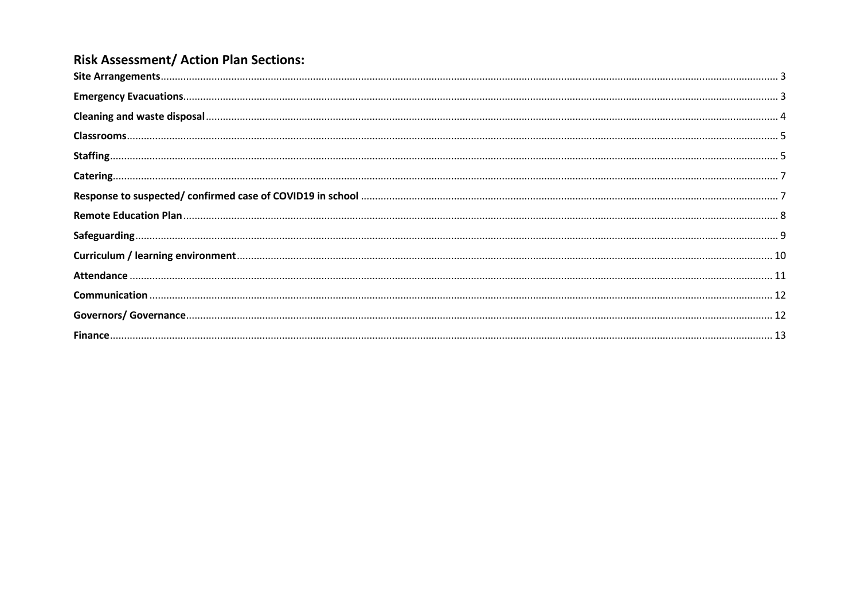## **Risk Assessment/ Action Plan Sections:**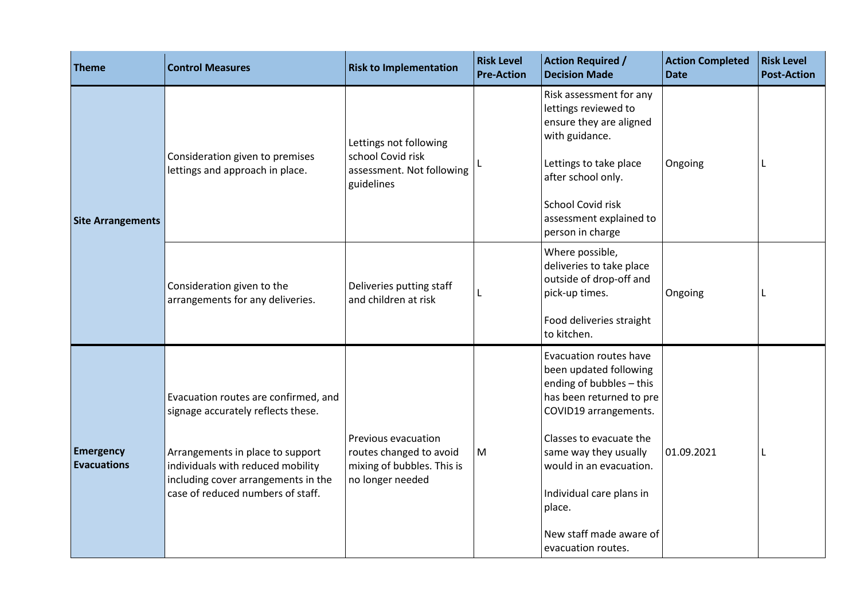<span id="page-2-1"></span><span id="page-2-0"></span>

| <b>Theme</b>                           | <b>Control Measures</b>                                                                                                                                                                                                         | <b>Risk to Implementation</b>                                                                    | <b>Risk Level</b><br><b>Pre-Action</b> | <b>Action Required /</b><br><b>Decision Made</b>                                                                                                                                                                                                                                                               | <b>Action Completed</b><br><b>Date</b> | <b>Risk Level</b><br><b>Post-Action</b> |
|----------------------------------------|---------------------------------------------------------------------------------------------------------------------------------------------------------------------------------------------------------------------------------|--------------------------------------------------------------------------------------------------|----------------------------------------|----------------------------------------------------------------------------------------------------------------------------------------------------------------------------------------------------------------------------------------------------------------------------------------------------------------|----------------------------------------|-----------------------------------------|
| <b>Site Arrangements</b>               | Consideration given to premises<br>lettings and approach in place.                                                                                                                                                              | Lettings not following<br>school Covid risk<br>assessment. Not following<br>guidelines           |                                        | Risk assessment for any<br>lettings reviewed to<br>ensure they are aligned<br>with guidance.<br>Lettings to take place<br>after school only.<br><b>School Covid risk</b><br>assessment explained to<br>person in charge                                                                                        | Ongoing                                |                                         |
|                                        | Consideration given to the<br>arrangements for any deliveries.                                                                                                                                                                  | Deliveries putting staff<br>and children at risk                                                 | L                                      | Where possible,<br>deliveries to take place<br>outside of drop-off and<br>pick-up times.<br>Food deliveries straight<br>to kitchen.                                                                                                                                                                            | Ongoing                                |                                         |
| <b>Emergency</b><br><b>Evacuations</b> | Evacuation routes are confirmed, and<br>signage accurately reflects these.<br>Arrangements in place to support<br>individuals with reduced mobility<br>including cover arrangements in the<br>case of reduced numbers of staff. | Previous evacuation<br>routes changed to avoid<br>mixing of bubbles. This is<br>no longer needed | M                                      | <b>Evacuation routes have</b><br>been updated following<br>ending of bubbles - this<br>has been returned to pre<br>COVID19 arrangements.<br>Classes to evacuate the<br>same way they usually<br>would in an evacuation.<br>Individual care plans in<br>place.<br>New staff made aware of<br>evacuation routes. | 01.09.2021                             | L                                       |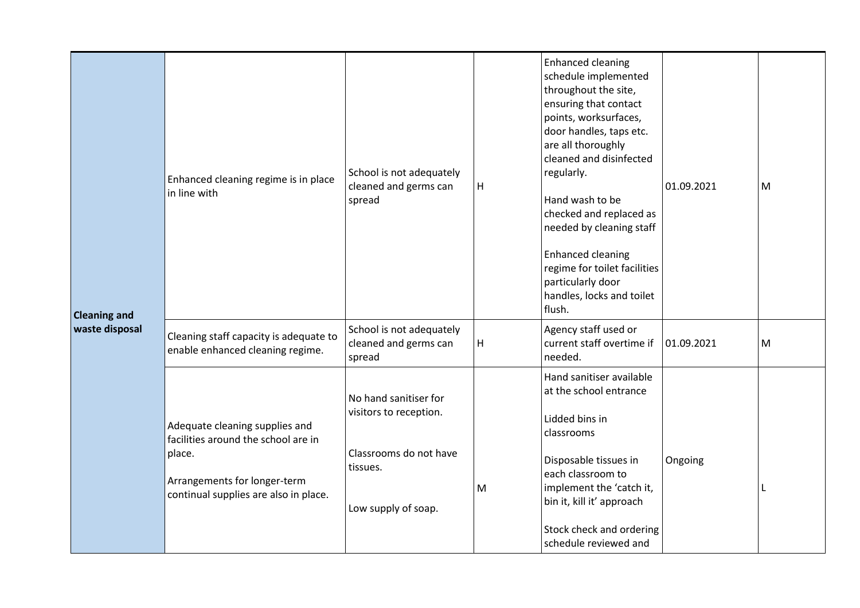<span id="page-3-0"></span>

| <b>Cleaning and</b> | Enhanced cleaning regime is in place<br>in line with                                                                                                     | School is not adequately<br>cleaned and germs can<br>spread                                                  | H | <b>Enhanced cleaning</b><br>schedule implemented<br>throughout the site,<br>ensuring that contact<br>points, worksurfaces,<br>door handles, taps etc.<br>are all thoroughly<br>cleaned and disinfected<br>regularly.<br>Hand wash to be<br>checked and replaced as<br>needed by cleaning staff<br><b>Enhanced cleaning</b><br>regime for toilet facilities<br>particularly door<br>handles, locks and toilet<br>flush. | 01.09.2021 | M |
|---------------------|----------------------------------------------------------------------------------------------------------------------------------------------------------|--------------------------------------------------------------------------------------------------------------|---|------------------------------------------------------------------------------------------------------------------------------------------------------------------------------------------------------------------------------------------------------------------------------------------------------------------------------------------------------------------------------------------------------------------------|------------|---|
| waste disposal      | Cleaning staff capacity is adequate to<br>enable enhanced cleaning regime.                                                                               | School is not adequately<br>cleaned and germs can<br>spread                                                  | H | Agency staff used or<br>current staff overtime if<br>needed.                                                                                                                                                                                                                                                                                                                                                           | 01.09.2021 | M |
|                     | Adequate cleaning supplies and<br>facilities around the school are in<br>place.<br>Arrangements for longer-term<br>continual supplies are also in place. | No hand sanitiser for<br>visitors to reception.<br>Classrooms do not have<br>tissues.<br>Low supply of soap. | M | Hand sanitiser available<br>at the school entrance<br>Lidded bins in<br>classrooms<br>Disposable tissues in<br>each classroom to<br>implement the 'catch it,<br>bin it, kill it' approach<br>Stock check and ordering<br>schedule reviewed and                                                                                                                                                                         | Ongoing    | L |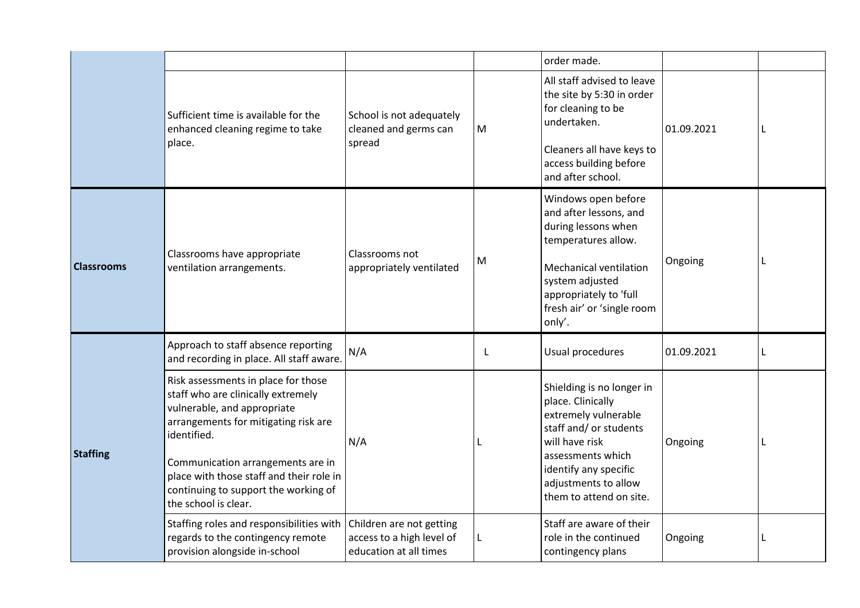<span id="page-4-1"></span><span id="page-4-0"></span>

|                   |                                                                                                                                                                                                                                                                                                                  |                                                                                 |           | order made.                                                                                                                                                                                                         |            |   |
|-------------------|------------------------------------------------------------------------------------------------------------------------------------------------------------------------------------------------------------------------------------------------------------------------------------------------------------------|---------------------------------------------------------------------------------|-----------|---------------------------------------------------------------------------------------------------------------------------------------------------------------------------------------------------------------------|------------|---|
|                   | Sufficient time is available for the<br>enhanced cleaning regime to take<br>place.                                                                                                                                                                                                                               | School is not adequately<br>cleaned and germs can<br>spread                     | ${\sf M}$ | All staff advised to leave<br>the site by 5:30 in order<br>for cleaning to be<br>undertaken.<br>Cleaners all have keys to<br>access building before<br>and after school.                                            | 01.09.2021 | L |
| <b>Classrooms</b> | Classrooms have appropriate<br>ventilation arrangements.                                                                                                                                                                                                                                                         | Classrooms not<br>appropriately ventilated                                      | M         | Windows open before<br>and after lessons, and<br>during lessons when<br>temperatures allow.<br><b>Mechanical ventilation</b><br>system adjusted<br>appropriately to 'full<br>fresh air' or 'single room<br>only'.   | Ongoing    | L |
|                   | Approach to staff absence reporting<br>and recording in place. All staff aware.                                                                                                                                                                                                                                  | N/A                                                                             | L         | Usual procedures                                                                                                                                                                                                    | 01.09.2021 | L |
| <b>Staffing</b>   | Risk assessments in place for those<br>staff who are clinically extremely<br>vulnerable, and appropriate<br>arrangements for mitigating risk are<br>identified.<br>Communication arrangements are in<br>place with those staff and their role in<br>continuing to support the working of<br>the school is clear. | N/A                                                                             |           | Shielding is no longer in<br>place. Clinically<br>extremely vulnerable<br>staff and/ or students<br>will have risk<br>assessments which<br>identify any specific<br>adjustments to allow<br>them to attend on site. | Ongoing    | L |
|                   | Staffing roles and responsibilities with<br>regards to the contingency remote<br>provision alongside in-school                                                                                                                                                                                                   | Children are not getting<br>access to a high level of<br>education at all times | L         | Staff are aware of their<br>role in the continued<br>contingency plans                                                                                                                                              | Ongoing    | L |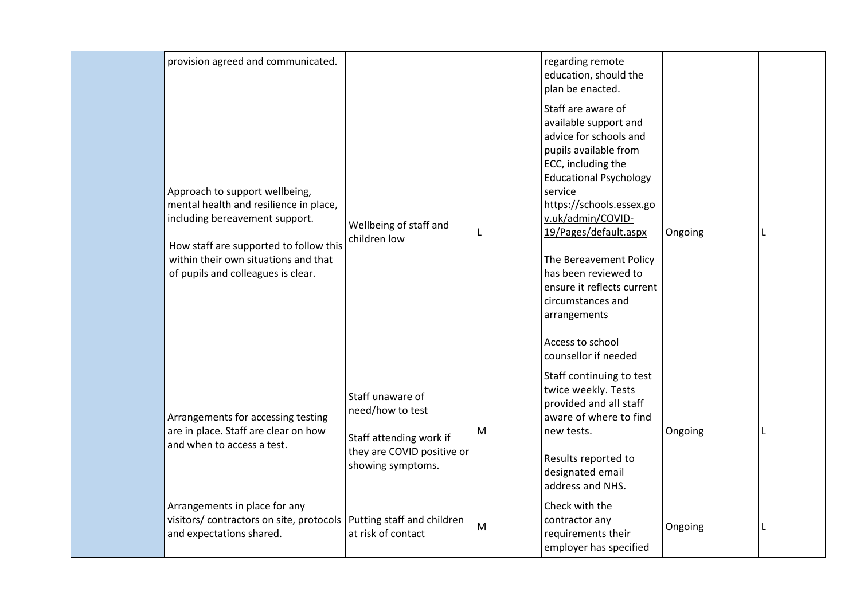|  | provision agreed and communicated.                                                                                                                                                                                                 |                                                                                                                    |   | regarding remote<br>education, should the<br>plan be enacted.                                                                                                                                                                                                                                                                                                                                               |         |   |
|--|------------------------------------------------------------------------------------------------------------------------------------------------------------------------------------------------------------------------------------|--------------------------------------------------------------------------------------------------------------------|---|-------------------------------------------------------------------------------------------------------------------------------------------------------------------------------------------------------------------------------------------------------------------------------------------------------------------------------------------------------------------------------------------------------------|---------|---|
|  | Approach to support wellbeing,<br>mental health and resilience in place,<br>including bereavement support.<br>How staff are supported to follow this<br>within their own situations and that<br>of pupils and colleagues is clear. | Wellbeing of staff and<br>children low                                                                             |   | Staff are aware of<br>available support and<br>advice for schools and<br>pupils available from<br>ECC, including the<br><b>Educational Psychology</b><br>service<br>https://schools.essex.go<br>v.uk/admin/COVID-<br>19/Pages/default.aspx<br>The Bereavement Policy<br>has been reviewed to<br>ensure it reflects current<br>circumstances and<br>arrangements<br>Access to school<br>counsellor if needed | Ongoing |   |
|  | Arrangements for accessing testing<br>are in place. Staff are clear on how<br>and when to access a test.                                                                                                                           | Staff unaware of<br>need/how to test<br>Staff attending work if<br>they are COVID positive or<br>showing symptoms. | M | Staff continuing to test<br>twice weekly. Tests<br>provided and all staff<br>aware of where to find<br>new tests.<br>Results reported to<br>designated email<br>address and NHS.                                                                                                                                                                                                                            | Ongoing |   |
|  | Arrangements in place for any<br>visitors/ contractors on site, protocols<br>and expectations shared.                                                                                                                              | Putting staff and children<br>at risk of contact                                                                   | M | Check with the<br>contractor any<br>requirements their<br>employer has specified                                                                                                                                                                                                                                                                                                                            | Ongoing | L |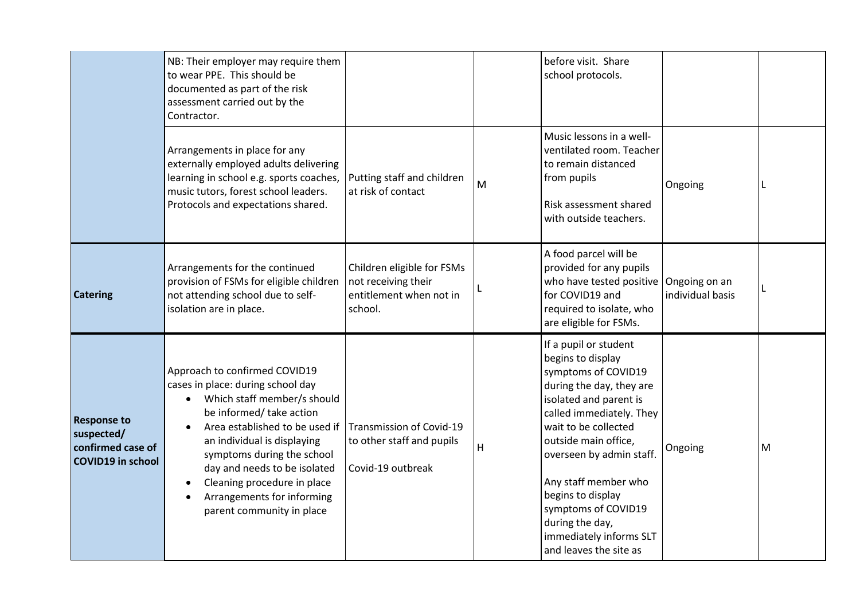<span id="page-6-1"></span><span id="page-6-0"></span>

|                                                                                   | NB: Their employer may require them<br>to wear PPE. This should be<br>documented as part of the risk<br>assessment carried out by the<br>Contractor.                                                                                                                                                                                                                |                                                                                         |   | before visit. Share<br>school protocols.                                                                                                                                                                                                                                                                                                                                    |                  |           |
|-----------------------------------------------------------------------------------|---------------------------------------------------------------------------------------------------------------------------------------------------------------------------------------------------------------------------------------------------------------------------------------------------------------------------------------------------------------------|-----------------------------------------------------------------------------------------|---|-----------------------------------------------------------------------------------------------------------------------------------------------------------------------------------------------------------------------------------------------------------------------------------------------------------------------------------------------------------------------------|------------------|-----------|
|                                                                                   | Arrangements in place for any<br>externally employed adults delivering<br>learning in school e.g. sports coaches,<br>music tutors, forest school leaders.<br>Protocols and expectations shared.                                                                                                                                                                     | Putting staff and children<br>at risk of contact                                        | M | Music lessons in a well-<br>ventilated room. Teacher<br>to remain distanced<br>from pupils<br>Risk assessment shared<br>with outside teachers.                                                                                                                                                                                                                              | Ongoing          |           |
| <b>Catering</b>                                                                   | Arrangements for the continued<br>provision of FSMs for eligible children<br>not attending school due to self-<br>isolation are in place.                                                                                                                                                                                                                           | Children eligible for FSMs<br>not receiving their<br>entitlement when not in<br>school. |   | A food parcel will be<br>provided for any pupils<br>who have tested positive   Ongoing on an<br>for COVID19 and<br>required to isolate, who<br>are eligible for FSMs.                                                                                                                                                                                                       | individual basis |           |
| <b>Response to</b><br>suspected/<br>confirmed case of<br><b>COVID19 in school</b> | Approach to confirmed COVID19<br>cases in place: during school day<br>Which staff member/s should<br>$\bullet$<br>be informed/ take action<br>Area established to be used if<br>an individual is displaying<br>symptoms during the school<br>day and needs to be isolated<br>Cleaning procedure in place<br>Arrangements for informing<br>parent community in place | Transmission of Covid-19<br>to other staff and pupils<br>Covid-19 outbreak              | н | If a pupil or student<br>begins to display<br>symptoms of COVID19<br>during the day, they are<br>isolated and parent is<br>called immediately. They<br>wait to be collected<br>outside main office,<br>overseen by admin staff.<br>Any staff member who<br>begins to display<br>symptoms of COVID19<br>during the day,<br>immediately informs SLT<br>and leaves the site as | Ongoing          | ${\sf M}$ |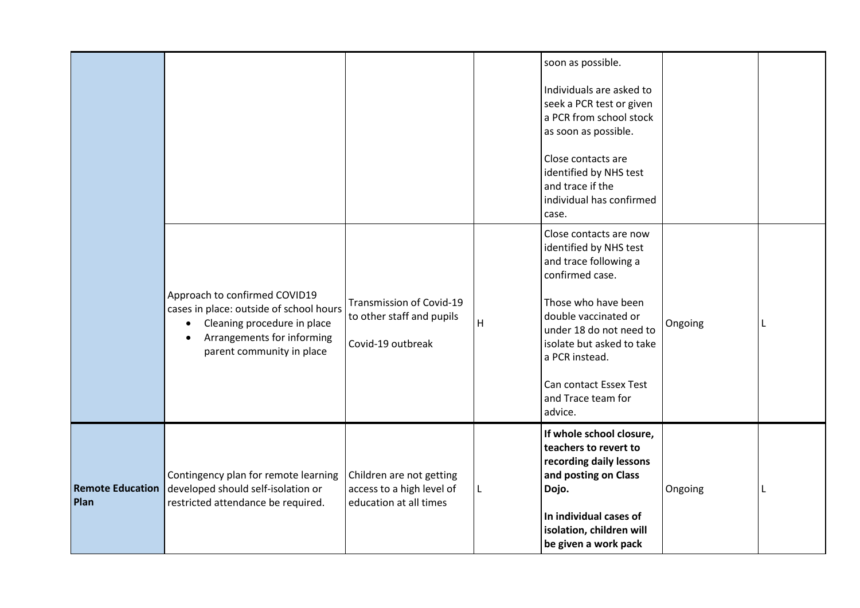<span id="page-7-0"></span>

|                                 |                                                                                                                                                                                              |                                                                                 |   | soon as possible.<br>Individuals are asked to<br>seek a PCR test or given<br>a PCR from school stock<br>as soon as possible.<br>Close contacts are<br>identified by NHS test<br>and trace if the<br>individual has confirmed<br>case.                                            |         |  |
|---------------------------------|----------------------------------------------------------------------------------------------------------------------------------------------------------------------------------------------|---------------------------------------------------------------------------------|---|----------------------------------------------------------------------------------------------------------------------------------------------------------------------------------------------------------------------------------------------------------------------------------|---------|--|
|                                 | Approach to confirmed COVID19<br>cases in place: outside of school hours<br>Cleaning procedure in place<br>$\bullet$<br>Arrangements for informing<br>$\bullet$<br>parent community in place | Transmission of Covid-19<br>to other staff and pupils<br>Covid-19 outbreak      | H | Close contacts are now<br>identified by NHS test<br>and trace following a<br>confirmed case.<br>Those who have been<br>double vaccinated or<br>under 18 do not need to<br>isolate but asked to take<br>a PCR instead.<br>Can contact Essex Test<br>and Trace team for<br>advice. | Ongoing |  |
| <b>Remote Education</b><br>Plan | Contingency plan for remote learning<br>developed should self-isolation or<br>restricted attendance be required.                                                                             | Children are not getting<br>access to a high level of<br>education at all times | L | If whole school closure,<br>teachers to revert to<br>recording daily lessons<br>and posting on Class<br>Dojo.<br>In individual cases of<br>isolation, children will<br>be given a work pack                                                                                      | Ongoing |  |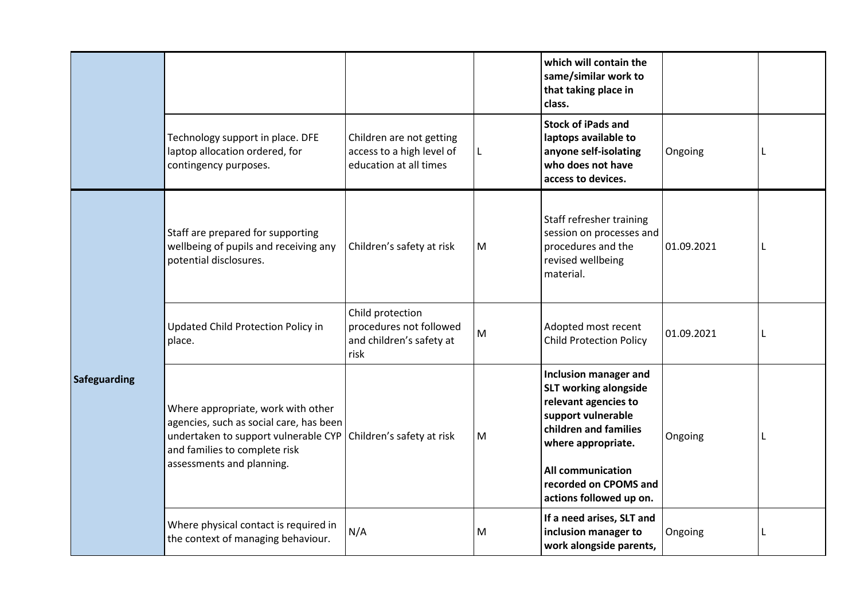<span id="page-8-0"></span>

|              |                                                                                                                                                                                     |                                                                                 |           | which will contain the<br>same/similar work to<br>that taking place in<br>class.                                                                                                                                                          |            |   |
|--------------|-------------------------------------------------------------------------------------------------------------------------------------------------------------------------------------|---------------------------------------------------------------------------------|-----------|-------------------------------------------------------------------------------------------------------------------------------------------------------------------------------------------------------------------------------------------|------------|---|
|              | Technology support in place. DFE<br>laptop allocation ordered, for<br>contingency purposes.                                                                                         | Children are not getting<br>access to a high level of<br>education at all times | L         | <b>Stock of iPads and</b><br>laptops available to<br>anyone self-isolating<br>who does not have<br>access to devices.                                                                                                                     | Ongoing    | L |
| Safeguarding | Staff are prepared for supporting<br>wellbeing of pupils and receiving any<br>potential disclosures.                                                                                | Children's safety at risk                                                       | M         | Staff refresher training<br>session on processes and<br>procedures and the<br>revised wellbeing<br>material.                                                                                                                              | 01.09.2021 | L |
|              | Updated Child Protection Policy in<br>place.                                                                                                                                        | Child protection<br>procedures not followed<br>and children's safety at<br>risk | ${\sf M}$ | Adopted most recent<br><b>Child Protection Policy</b>                                                                                                                                                                                     | 01.09.2021 | L |
|              | Where appropriate, work with other<br>agencies, such as social care, has been<br>undertaken to support vulnerable CYP<br>and families to complete risk<br>assessments and planning. | Children's safety at risk                                                       | M         | <b>Inclusion manager and</b><br><b>SLT working alongside</b><br>relevant agencies to<br>support vulnerable<br>children and families<br>where appropriate.<br><b>All communication</b><br>recorded on CPOMS and<br>actions followed up on. | Ongoing    | L |
|              | Where physical contact is required in<br>the context of managing behaviour.                                                                                                         | N/A                                                                             | M         | If a need arises, SLT and<br>inclusion manager to<br>work alongside parents,                                                                                                                                                              | Ongoing    | L |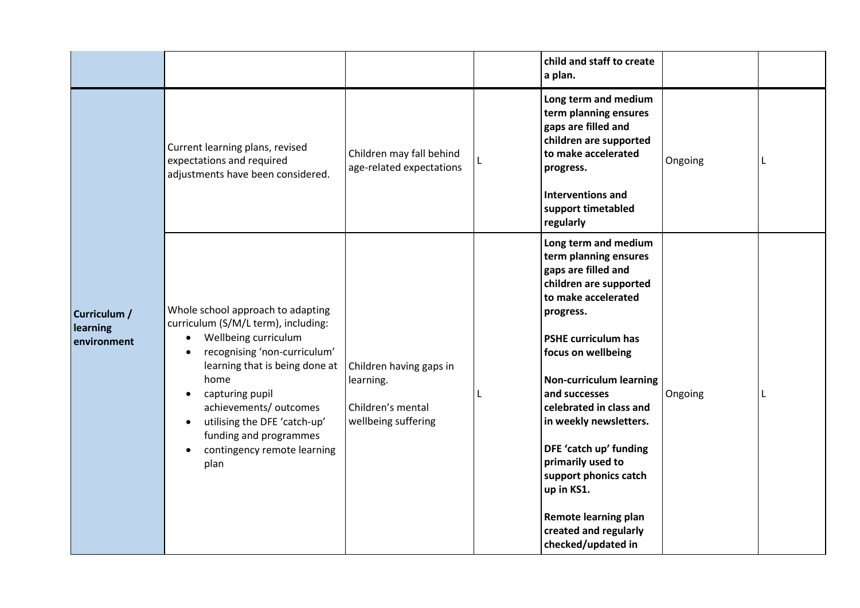<span id="page-9-0"></span>

|                                         |                                                                                                                                                                                                                                                                                                                                       |                                                                                  | child and staff to create<br>a plan.                                                                                                                                                                                                                                                                                                                                                                                                                               |         |   |
|-----------------------------------------|---------------------------------------------------------------------------------------------------------------------------------------------------------------------------------------------------------------------------------------------------------------------------------------------------------------------------------------|----------------------------------------------------------------------------------|--------------------------------------------------------------------------------------------------------------------------------------------------------------------------------------------------------------------------------------------------------------------------------------------------------------------------------------------------------------------------------------------------------------------------------------------------------------------|---------|---|
|                                         | Current learning plans, revised<br>expectations and required<br>adjustments have been considered.                                                                                                                                                                                                                                     | Children may fall behind<br>age-related expectations                             | Long term and medium<br>term planning ensures<br>gaps are filled and<br>children are supported<br>to make accelerated<br>progress.<br><b>Interventions and</b><br>support timetabled<br>regularly                                                                                                                                                                                                                                                                  | Ongoing | L |
| Curriculum /<br>learning<br>environment | Whole school approach to adapting<br>curriculum (S/M/L term), including:<br>Wellbeing curriculum<br>$\bullet$<br>recognising 'non-curriculum'<br>learning that is being done at<br>home<br>capturing pupil<br>achievements/ outcomes<br>utilising the DFE 'catch-up'<br>funding and programmes<br>contingency remote learning<br>plan | Children having gaps in<br>learning.<br>Children's mental<br>wellbeing suffering | Long term and medium<br>term planning ensures<br>gaps are filled and<br>children are supported<br>to make accelerated<br>progress.<br><b>PSHE curriculum has</b><br>focus on wellbeing<br><b>Non-curriculum learning</b><br>and successes<br>celebrated in class and<br>in weekly newsletters.<br>DFE 'catch up' funding<br>primarily used to<br>support phonics catch<br>up in KS1.<br><b>Remote learning plan</b><br>created and regularly<br>checked/updated in | Ongoing | L |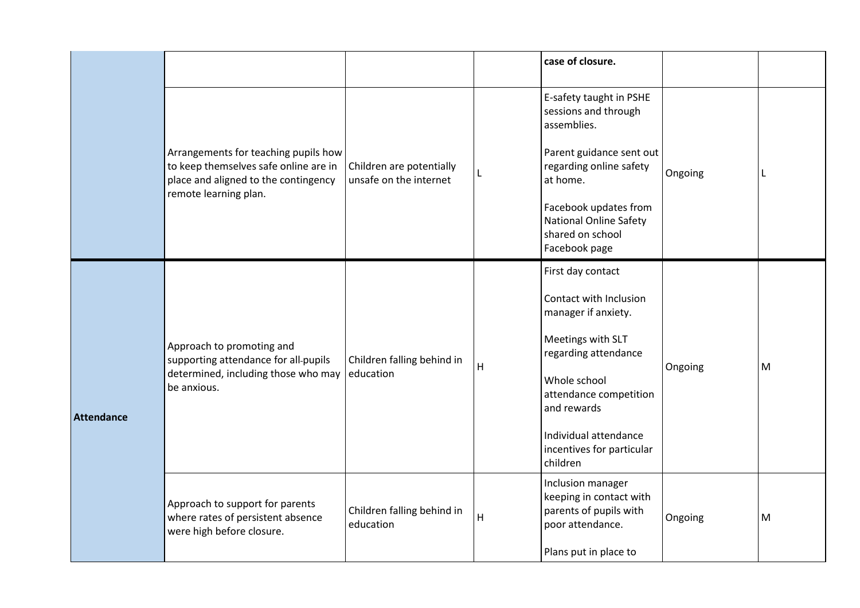<span id="page-10-0"></span>

|            |                                                                                                                                                |                                                    |   | case of closure.                                                                                                                                                                                                                           |         |   |
|------------|------------------------------------------------------------------------------------------------------------------------------------------------|----------------------------------------------------|---|--------------------------------------------------------------------------------------------------------------------------------------------------------------------------------------------------------------------------------------------|---------|---|
|            | Arrangements for teaching pupils how<br>to keep themselves safe online are in<br>place and aligned to the contingency<br>remote learning plan. | Children are potentially<br>unsafe on the internet |   | E-safety taught in PSHE<br>sessions and through<br>assemblies.<br>Parent guidance sent out<br>regarding online safety<br>at home.<br>Facebook updates from<br><b>National Online Safety</b><br>shared on school<br>Facebook page           | Ongoing | L |
| Attendance | Approach to promoting and<br>supporting attendance for all-pupils<br>determined, including those who may<br>be anxious.                        | Children falling behind in<br>education            | H | First day contact<br>Contact with Inclusion<br>manager if anxiety.<br>Meetings with SLT<br>regarding attendance<br>Whole school<br>attendance competition<br>and rewards<br>Individual attendance<br>incentives for particular<br>children | Ongoing | M |
|            | Approach to support for parents<br>where rates of persistent absence<br>were high before closure.                                              | Children falling behind in<br>education            | Н | Inclusion manager<br>keeping in contact with<br>parents of pupils with<br>poor attendance.<br>Plans put in place to                                                                                                                        | Ongoing | M |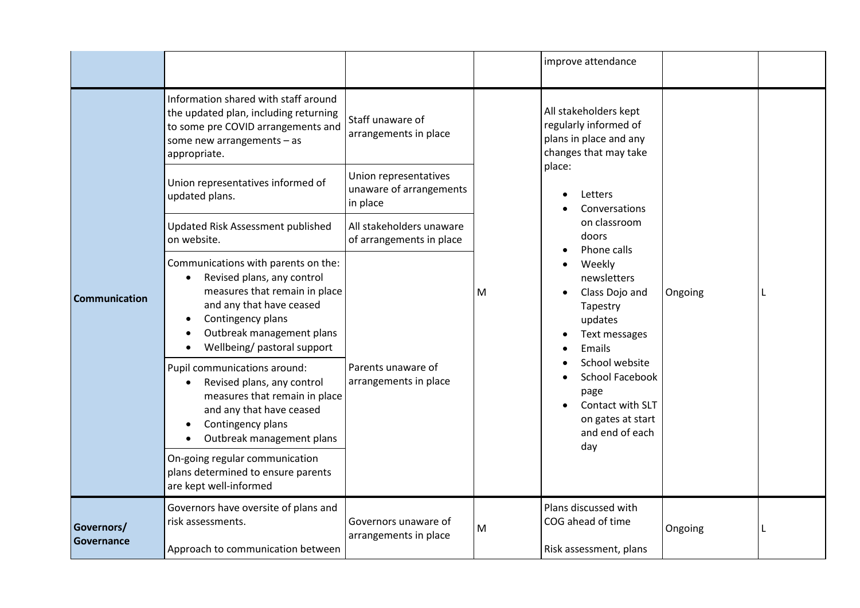<span id="page-11-1"></span><span id="page-11-0"></span>

|                          |                                                                                                                                                                                                                 |                                                              |   | improve attendance                                                                                                                                                                                                                                                           |         |   |
|--------------------------|-----------------------------------------------------------------------------------------------------------------------------------------------------------------------------------------------------------------|--------------------------------------------------------------|---|------------------------------------------------------------------------------------------------------------------------------------------------------------------------------------------------------------------------------------------------------------------------------|---------|---|
|                          | Information shared with staff around<br>the updated plan, including returning<br>to some pre COVID arrangements and<br>some new arrangements $-$ as<br>appropriate.                                             | Staff unaware of<br>arrangements in place                    |   | All stakeholders kept<br>regularly informed of<br>plans in place and any<br>changes that may take<br>place:<br>Letters<br>Conversations<br>on classroom<br>doors<br>Phone calls<br>Weekly<br>newsletters<br>Class Dojo and<br>Tapestry<br>updates<br>Text messages<br>Emails |         |   |
|                          | Union representatives informed of<br>updated plans.                                                                                                                                                             | Union representatives<br>unaware of arrangements<br>in place |   |                                                                                                                                                                                                                                                                              |         |   |
| <b>Communication</b>     | Updated Risk Assessment published<br>on website.                                                                                                                                                                | All stakeholders unaware<br>of arrangements in place         |   |                                                                                                                                                                                                                                                                              |         |   |
|                          | Communications with parents on the:<br>Revised plans, any control<br>measures that remain in place<br>and any that have ceased<br>Contingency plans<br>Outbreak management plans<br>Wellbeing/ pastoral support | Parents unaware of<br>arrangements in place                  | M |                                                                                                                                                                                                                                                                              | Ongoing | L |
|                          | Pupil communications around:<br>Revised plans, any control<br>measures that remain in place<br>and any that have ceased<br>Contingency plans<br>Outbreak management plans                                       |                                                              |   | School website<br>School Facebook<br>page<br>Contact with SLT<br>on gates at start<br>and end of each<br>day                                                                                                                                                                 |         |   |
|                          | On-going regular communication<br>plans determined to ensure parents<br>are kept well-informed                                                                                                                  |                                                              |   |                                                                                                                                                                                                                                                                              |         |   |
| Governors/<br>Governance | Governors have oversite of plans and<br>risk assessments.<br>Approach to communication between                                                                                                                  | Governors unaware of<br>arrangements in place                | M | Plans discussed with<br>COG ahead of time<br>Risk assessment, plans                                                                                                                                                                                                          | Ongoing | L |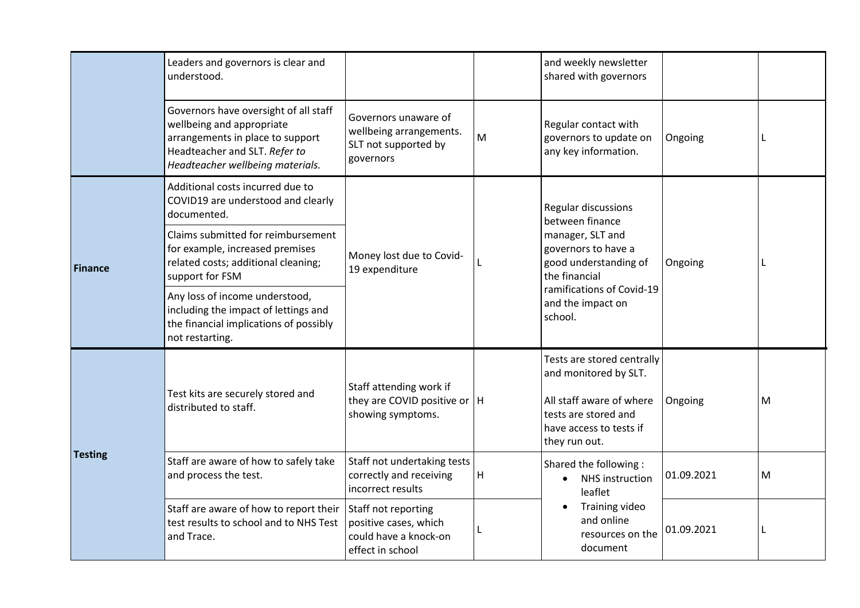<span id="page-12-0"></span>

|                | Leaders and governors is clear and<br>understood.                                                                                                                           |                                                                                           |   | and weekly newsletter<br>shared with governors                                                                                                      |            |   |
|----------------|-----------------------------------------------------------------------------------------------------------------------------------------------------------------------------|-------------------------------------------------------------------------------------------|---|-----------------------------------------------------------------------------------------------------------------------------------------------------|------------|---|
|                | Governors have oversight of all staff<br>wellbeing and appropriate<br>arrangements in place to support<br>Headteacher and SLT. Refer to<br>Headteacher wellbeing materials. | Governors unaware of<br>wellbeing arrangements.<br>SLT not supported by<br>governors      | M | Regular contact with<br>governors to update on<br>any key information.                                                                              | Ongoing    | L |
|                | Additional costs incurred due to<br>COVID19 are understood and clearly<br>documented.                                                                                       |                                                                                           |   | <b>Regular discussions</b><br>between finance                                                                                                       | Ongoing    |   |
| <b>Finance</b> | Claims submitted for reimbursement<br>for example, increased premises<br>related costs; additional cleaning;<br>support for FSM                                             | Money lost due to Covid-<br>19 expenditure                                                |   | manager, SLT and<br>governors to have a<br>good understanding of<br>the financial<br>ramifications of Covid-19<br>and the impact on<br>school.      |            |   |
|                | Any loss of income understood,<br>including the impact of lettings and<br>the financial implications of possibly<br>not restarting.                                         |                                                                                           |   |                                                                                                                                                     |            |   |
|                | Test kits are securely stored and<br>distributed to staff.                                                                                                                  | Staff attending work if<br>they are COVID positive or $ H $<br>showing symptoms.          |   | Tests are stored centrally<br>and monitored by SLT.<br>All staff aware of where<br>tests are stored and<br>have access to tests if<br>they run out. | Ongoing    | М |
| <b>Testing</b> | Staff are aware of how to safely take<br>and process the test.                                                                                                              | Staff not undertaking tests<br>correctly and receiving<br>incorrect results               | H | Shared the following:<br>NHS instruction<br>$\bullet$<br>leaflet                                                                                    | 01.09.2021 | M |
|                | Staff are aware of how to report their<br>test results to school and to NHS Test<br>and Trace.                                                                              | Staff not reporting<br>positive cases, which<br>could have a knock-on<br>effect in school |   | Training video<br>and online<br>resources on the<br>document                                                                                        | 01.09.2021 | L |